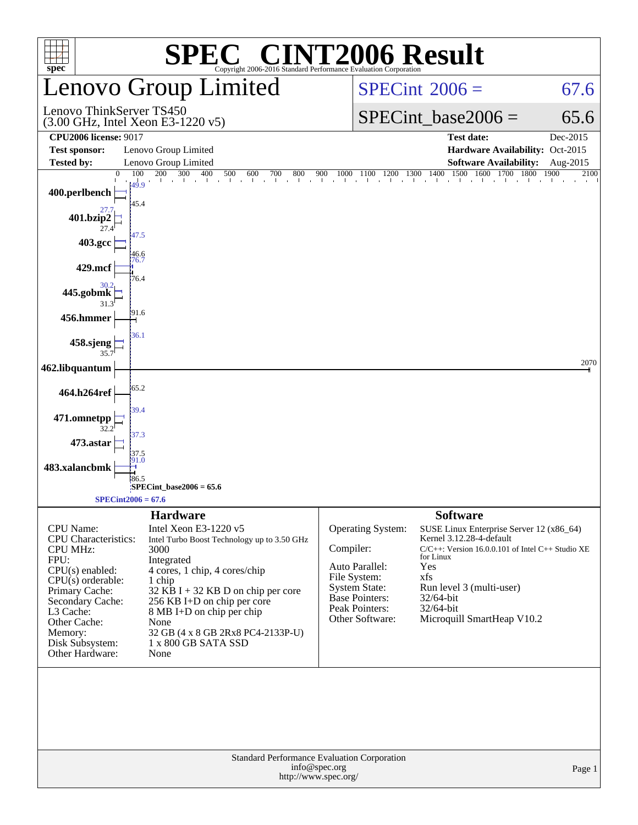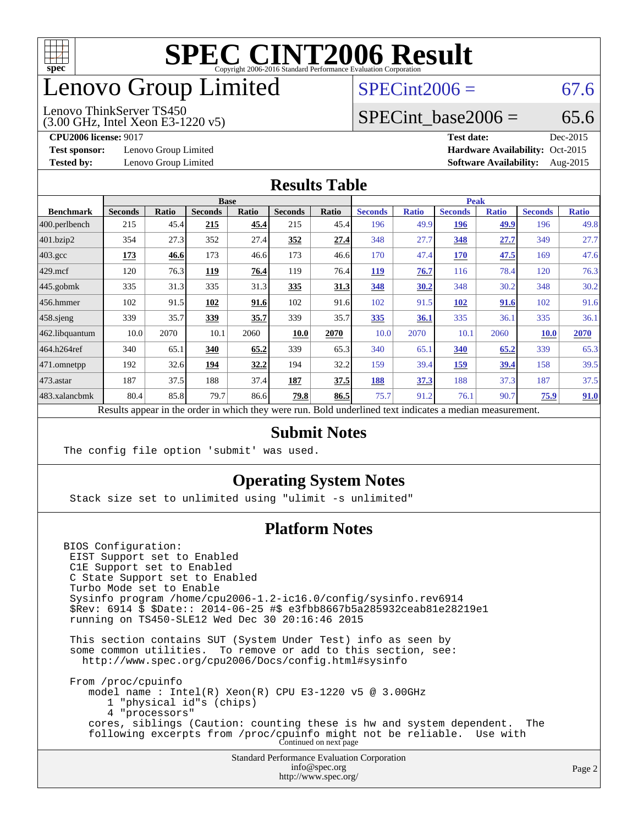

## enovo Group Limited

### $SPECint2006 = 67.6$  $SPECint2006 = 67.6$

(3.00 GHz, Intel Xeon E3-1220 v5) Lenovo ThinkServer TS450

SPECint base2006 =  $65.6$ 

**[Test sponsor:](http://www.spec.org/auto/cpu2006/Docs/result-fields.html#Testsponsor)** Lenovo Group Limited **[Hardware Availability:](http://www.spec.org/auto/cpu2006/Docs/result-fields.html#HardwareAvailability)** Oct-2015

**[CPU2006 license:](http://www.spec.org/auto/cpu2006/Docs/result-fields.html#CPU2006license)** 9017 **[Test date:](http://www.spec.org/auto/cpu2006/Docs/result-fields.html#Testdate)** Dec-2015 **[Tested by:](http://www.spec.org/auto/cpu2006/Docs/result-fields.html#Testedby)** Lenovo Group Limited **[Software Availability:](http://www.spec.org/auto/cpu2006/Docs/result-fields.html#SoftwareAvailability)** Aug-2015

#### **[Results Table](http://www.spec.org/auto/cpu2006/Docs/result-fields.html#ResultsTable)**

| <b>Base</b>    |              |                |                                      |                |                              | <b>Peak</b>    |                      |                |                                              |                |              |
|----------------|--------------|----------------|--------------------------------------|----------------|------------------------------|----------------|----------------------|----------------|----------------------------------------------|----------------|--------------|
| <b>Seconds</b> | <b>Ratio</b> | <b>Seconds</b> | Ratio                                | <b>Seconds</b> | Ratio                        | <b>Seconds</b> | <b>Ratio</b>         | <b>Seconds</b> | <b>Ratio</b>                                 | <b>Seconds</b> | <b>Ratio</b> |
| 215            |              | 215            | 45.4                                 | 215            |                              | 196            |                      | 196            | 49.9                                         | 196            | 49.8         |
| 354            | 27.3         | 352            |                                      | 352            | 27.4                         | 348            | 27.7                 | 348            | 27.7                                         | 349            | 27.7         |
| 173            | 46.6         | 173            |                                      | 173            |                              | 170            |                      | 170            | <u>47.5</u>                                  | 169            | 47.6         |
| 120            | 76.3         | 119            | 76.4                                 | 119            | 76.4                         | <u>119</u>     | 76.7                 | 116            | 78.4                                         | 120            | 76.3         |
| 335            |              | 335            |                                      | 335            | <u>31.3</u>                  | 348            |                      | 348            | 30.2                                         | 348            | 30.2         |
| 102            |              | 102            |                                      | 102            |                              | 102            |                      | 102            | 91.6                                         | 102            | 91.6         |
| 339            | 35.7         | 339            | 35.7                                 | 339            | 35.7                         | 335            | 36.1                 | 335            | 36.1                                         | 335            | 36.1         |
| 10.0           | 2070         | 10.1           | 2060                                 | 10.0           | 2070                         | 10.0           | 2070                 | 10.1           | 2060                                         | 10.0           | 2070         |
| 340            | 65.1         | 340            | 65.2                                 | 339            | 65.3                         | 340            | 65.1                 | 340            | 65.2                                         | 339            | 65.3         |
| 192            |              | 194            | 32.2                                 | 194            | 32.2                         | 159            |                      | 159            | 39.4                                         | 158            | 39.5         |
| 187            | 37.5         | 188            |                                      | 187            | 37.5                         | 188            | 37.3                 | 188            | 37.3                                         | 187            | 37.5         |
| 80.4           |              | 79.7           |                                      | 79.8           | 86.5                         | 75.7           |                      | 76.1           | 90.7                                         | 75.9           | 91.0         |
|                |              |                | 45.4<br>31.3<br>91.5<br>32.6<br>85.8 | 31.3<br>91.6   | 27.4<br>46.6<br>37.4<br>86.6 |                | 45.4<br>46.6<br>91.6 |                | 49.9<br>47.4<br>30.2<br>91.5<br>39.4<br>91.2 |                |              |

Results appear in the [order in which they were run.](http://www.spec.org/auto/cpu2006/Docs/result-fields.html#RunOrder) Bold underlined text [indicates a median measurement.](http://www.spec.org/auto/cpu2006/Docs/result-fields.html#Median)

#### **[Submit Notes](http://www.spec.org/auto/cpu2006/Docs/result-fields.html#SubmitNotes)**

The config file option 'submit' was used.

### **[Operating System Notes](http://www.spec.org/auto/cpu2006/Docs/result-fields.html#OperatingSystemNotes)**

Stack size set to unlimited using "ulimit -s unlimited"

### **[Platform Notes](http://www.spec.org/auto/cpu2006/Docs/result-fields.html#PlatformNotes)**

BIOS Configuration: EIST Support set to Enabled C1E Support set to Enabled C State Support set to Enabled Turbo Mode set to Enable Sysinfo program /home/cpu2006-1.2-ic16.0/config/sysinfo.rev6914 \$Rev: 6914 \$ \$Date:: 2014-06-25 #\$ e3fbb8667b5a285932ceab81e28219e1 running on TS450-SLE12 Wed Dec 30 20:16:46 2015 This section contains SUT (System Under Test) info as seen by some common utilities. To remove or add to this section, see: <http://www.spec.org/cpu2006/Docs/config.html#sysinfo> From /proc/cpuinfo model name : Intel(R) Xeon(R) CPU E3-1220 v5 @ 3.00GHz 1 "physical id"s (chips) 4 "processors" cores, siblings (Caution: counting these is hw and system dependent. The following excerpts from /proc/cpuinfo might not be reliable. Use with Continued on next page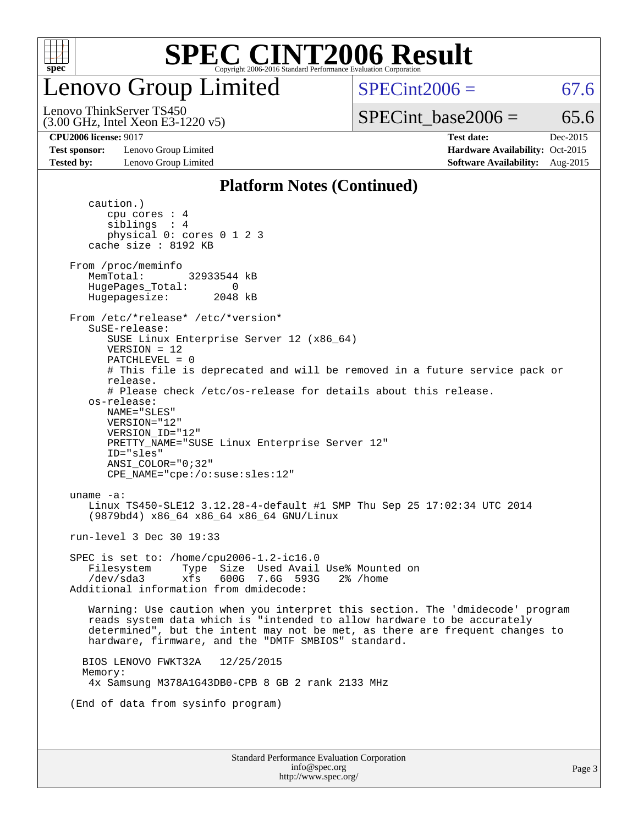

enovo Group Limited

 $SPECint2006 = 67.6$  $SPECint2006 = 67.6$ 

(3.00 GHz, Intel Xeon E3-1220 v5) Lenovo ThinkServer TS450

SPECint base2006 =  $65.6$ 

**[Test sponsor:](http://www.spec.org/auto/cpu2006/Docs/result-fields.html#Testsponsor)** Lenovo Group Limited **[Hardware Availability:](http://www.spec.org/auto/cpu2006/Docs/result-fields.html#HardwareAvailability)** Oct-2015

**[CPU2006 license:](http://www.spec.org/auto/cpu2006/Docs/result-fields.html#CPU2006license)** 9017 **[Test date:](http://www.spec.org/auto/cpu2006/Docs/result-fields.html#Testdate)** Dec-2015 **[Tested by:](http://www.spec.org/auto/cpu2006/Docs/result-fields.html#Testedby)** Lenovo Group Limited **[Software Availability:](http://www.spec.org/auto/cpu2006/Docs/result-fields.html#SoftwareAvailability)** Aug-2015

#### **[Platform Notes \(Continued\)](http://www.spec.org/auto/cpu2006/Docs/result-fields.html#PlatformNotes)**

Standard Performance Evaluation Corporation [info@spec.org](mailto:info@spec.org) <http://www.spec.org/> Page 3 caution.) cpu cores : 4 siblings : 4 physical 0: cores 0 1 2 3 cache size : 8192 KB From /proc/meminfo MemTotal: 32933544 kB HugePages\_Total: 0<br>Hugepagesize: 2048 kB Hugepagesize: From /etc/\*release\* /etc/\*version\* SuSE-release: SUSE Linux Enterprise Server 12 (x86\_64) VERSION = 12 PATCHLEVEL = 0 # This file is deprecated and will be removed in a future service pack or release. # Please check /etc/os-release for details about this release. os-release: NAME="SLES" VERSION="12" VERSION\_ID="12" PRETTY\_NAME="SUSE Linux Enterprise Server 12" ID="sles" ANSI\_COLOR="0;32" CPE\_NAME="cpe:/o:suse:sles:12" uname -a: Linux TS450-SLE12 3.12.28-4-default #1 SMP Thu Sep 25 17:02:34 UTC 2014 (9879bd4) x86\_64 x86\_64 x86\_64 GNU/Linux run-level 3 Dec 30 19:33 SPEC is set to: /home/cpu2006-1.2-ic16.0 Filesystem Type Size Used Avail Use% Mounted on /dev/sda3 xfs 600G 7.6G 593G 2% /home Additional information from dmidecode: Warning: Use caution when you interpret this section. The 'dmidecode' program reads system data which is "intended to allow hardware to be accurately determined", but the intent may not be met, as there are frequent changes to hardware, firmware, and the "DMTF SMBIOS" standard. BIOS LENOVO FWKT32A 12/25/2015 Memory: 4x Samsung M378A1G43DB0-CPB 8 GB 2 rank 2133 MHz (End of data from sysinfo program)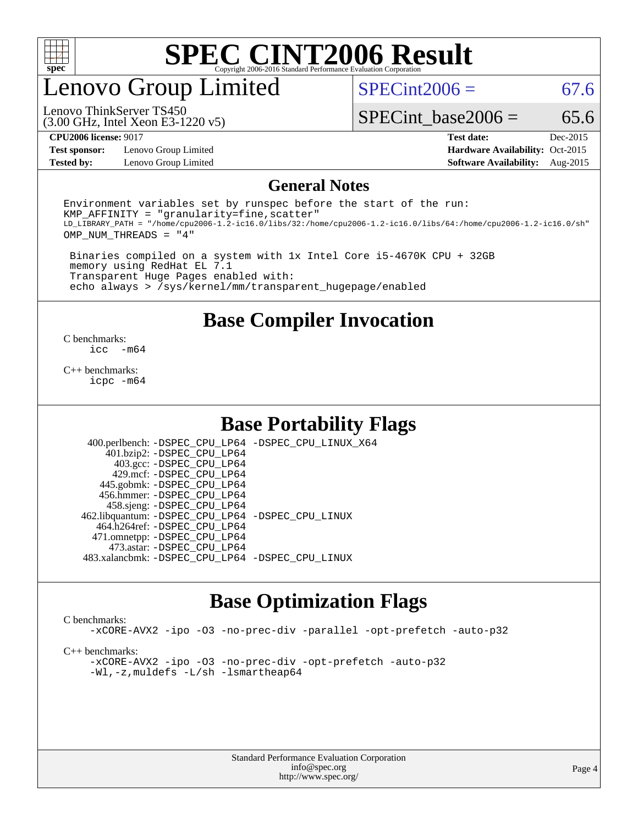

### enovo Group Limited

 $SPECint2006 = 67.6$  $SPECint2006 = 67.6$ 

(3.00 GHz, Intel Xeon E3-1220 v5) Lenovo ThinkServer TS450

SPECint base2006 =  $65.6$ 

**[Test sponsor:](http://www.spec.org/auto/cpu2006/Docs/result-fields.html#Testsponsor)** Lenovo Group Limited **[Hardware Availability:](http://www.spec.org/auto/cpu2006/Docs/result-fields.html#HardwareAvailability)** Oct-2015

**[CPU2006 license:](http://www.spec.org/auto/cpu2006/Docs/result-fields.html#CPU2006license)** 9017 **[Test date:](http://www.spec.org/auto/cpu2006/Docs/result-fields.html#Testdate)** Dec-2015 **[Tested by:](http://www.spec.org/auto/cpu2006/Docs/result-fields.html#Testedby)** Lenovo Group Limited **[Software Availability:](http://www.spec.org/auto/cpu2006/Docs/result-fields.html#SoftwareAvailability)** Aug-2015

#### **[General Notes](http://www.spec.org/auto/cpu2006/Docs/result-fields.html#GeneralNotes)**

Environment variables set by runspec before the start of the run:  $KMP$  AFFINITY = "granularity=fine, scatter" LD\_LIBRARY\_PATH = "/home/cpu2006-1.2-ic16.0/libs/32:/home/cpu2006-1.2-ic16.0/libs/64:/home/cpu2006-1.2-ic16.0/sh" OMP\_NUM\_THREADS = "4"

 Binaries compiled on a system with 1x Intel Core i5-4670K CPU + 32GB memory using RedHat EL 7.1 Transparent Huge Pages enabled with: echo always > /sys/kernel/mm/transparent\_hugepage/enabled

**[Base Compiler Invocation](http://www.spec.org/auto/cpu2006/Docs/result-fields.html#BaseCompilerInvocation)**

 $\frac{C \text{ benchmarks:}}{C \text{ C}}$ -m64

[C++ benchmarks:](http://www.spec.org/auto/cpu2006/Docs/result-fields.html#CXXbenchmarks) [icpc -m64](http://www.spec.org/cpu2006/results/res2016q1/cpu2006-20160125-38899.flags.html#user_CXXbase_intel_icpc_64bit_fc66a5337ce925472a5c54ad6a0de310)

### **[Base Portability Flags](http://www.spec.org/auto/cpu2006/Docs/result-fields.html#BasePortabilityFlags)**

 400.perlbench: [-DSPEC\\_CPU\\_LP64](http://www.spec.org/cpu2006/results/res2016q1/cpu2006-20160125-38899.flags.html#b400.perlbench_basePORTABILITY_DSPEC_CPU_LP64) [-DSPEC\\_CPU\\_LINUX\\_X64](http://www.spec.org/cpu2006/results/res2016q1/cpu2006-20160125-38899.flags.html#b400.perlbench_baseCPORTABILITY_DSPEC_CPU_LINUX_X64) 401.bzip2: [-DSPEC\\_CPU\\_LP64](http://www.spec.org/cpu2006/results/res2016q1/cpu2006-20160125-38899.flags.html#suite_basePORTABILITY401_bzip2_DSPEC_CPU_LP64) 403.gcc: [-DSPEC\\_CPU\\_LP64](http://www.spec.org/cpu2006/results/res2016q1/cpu2006-20160125-38899.flags.html#suite_basePORTABILITY403_gcc_DSPEC_CPU_LP64) 429.mcf: [-DSPEC\\_CPU\\_LP64](http://www.spec.org/cpu2006/results/res2016q1/cpu2006-20160125-38899.flags.html#suite_basePORTABILITY429_mcf_DSPEC_CPU_LP64) 445.gobmk: [-DSPEC\\_CPU\\_LP64](http://www.spec.org/cpu2006/results/res2016q1/cpu2006-20160125-38899.flags.html#suite_basePORTABILITY445_gobmk_DSPEC_CPU_LP64) 456.hmmer: [-DSPEC\\_CPU\\_LP64](http://www.spec.org/cpu2006/results/res2016q1/cpu2006-20160125-38899.flags.html#suite_basePORTABILITY456_hmmer_DSPEC_CPU_LP64) 458.sjeng: [-DSPEC\\_CPU\\_LP64](http://www.spec.org/cpu2006/results/res2016q1/cpu2006-20160125-38899.flags.html#suite_basePORTABILITY458_sjeng_DSPEC_CPU_LP64) 462.libquantum: [-DSPEC\\_CPU\\_LP64](http://www.spec.org/cpu2006/results/res2016q1/cpu2006-20160125-38899.flags.html#suite_basePORTABILITY462_libquantum_DSPEC_CPU_LP64) [-DSPEC\\_CPU\\_LINUX](http://www.spec.org/cpu2006/results/res2016q1/cpu2006-20160125-38899.flags.html#b462.libquantum_baseCPORTABILITY_DSPEC_CPU_LINUX) 464.h264ref: [-DSPEC\\_CPU\\_LP64](http://www.spec.org/cpu2006/results/res2016q1/cpu2006-20160125-38899.flags.html#suite_basePORTABILITY464_h264ref_DSPEC_CPU_LP64) 471.omnetpp: [-DSPEC\\_CPU\\_LP64](http://www.spec.org/cpu2006/results/res2016q1/cpu2006-20160125-38899.flags.html#suite_basePORTABILITY471_omnetpp_DSPEC_CPU_LP64) 473.astar: [-DSPEC\\_CPU\\_LP64](http://www.spec.org/cpu2006/results/res2016q1/cpu2006-20160125-38899.flags.html#suite_basePORTABILITY473_astar_DSPEC_CPU_LP64) 483.xalancbmk: [-DSPEC\\_CPU\\_LP64](http://www.spec.org/cpu2006/results/res2016q1/cpu2006-20160125-38899.flags.html#suite_basePORTABILITY483_xalancbmk_DSPEC_CPU_LP64) [-DSPEC\\_CPU\\_LINUX](http://www.spec.org/cpu2006/results/res2016q1/cpu2006-20160125-38899.flags.html#b483.xalancbmk_baseCXXPORTABILITY_DSPEC_CPU_LINUX)

### **[Base Optimization Flags](http://www.spec.org/auto/cpu2006/Docs/result-fields.html#BaseOptimizationFlags)**

#### [C benchmarks](http://www.spec.org/auto/cpu2006/Docs/result-fields.html#Cbenchmarks):

[-xCORE-AVX2](http://www.spec.org/cpu2006/results/res2016q1/cpu2006-20160125-38899.flags.html#user_CCbase_f-xAVX2_5f5fc0cbe2c9f62c816d3e45806c70d7) [-ipo](http://www.spec.org/cpu2006/results/res2016q1/cpu2006-20160125-38899.flags.html#user_CCbase_f-ipo) [-O3](http://www.spec.org/cpu2006/results/res2016q1/cpu2006-20160125-38899.flags.html#user_CCbase_f-O3) [-no-prec-div](http://www.spec.org/cpu2006/results/res2016q1/cpu2006-20160125-38899.flags.html#user_CCbase_f-no-prec-div) [-parallel](http://www.spec.org/cpu2006/results/res2016q1/cpu2006-20160125-38899.flags.html#user_CCbase_f-parallel) [-opt-prefetch](http://www.spec.org/cpu2006/results/res2016q1/cpu2006-20160125-38899.flags.html#user_CCbase_f-opt-prefetch) [-auto-p32](http://www.spec.org/cpu2006/results/res2016q1/cpu2006-20160125-38899.flags.html#user_CCbase_f-auto-p32)

[C++ benchmarks:](http://www.spec.org/auto/cpu2006/Docs/result-fields.html#CXXbenchmarks)

[-xCORE-AVX2](http://www.spec.org/cpu2006/results/res2016q1/cpu2006-20160125-38899.flags.html#user_CXXbase_f-xAVX2_5f5fc0cbe2c9f62c816d3e45806c70d7) [-ipo](http://www.spec.org/cpu2006/results/res2016q1/cpu2006-20160125-38899.flags.html#user_CXXbase_f-ipo) [-O3](http://www.spec.org/cpu2006/results/res2016q1/cpu2006-20160125-38899.flags.html#user_CXXbase_f-O3) [-no-prec-div](http://www.spec.org/cpu2006/results/res2016q1/cpu2006-20160125-38899.flags.html#user_CXXbase_f-no-prec-div) [-opt-prefetch](http://www.spec.org/cpu2006/results/res2016q1/cpu2006-20160125-38899.flags.html#user_CXXbase_f-opt-prefetch) [-auto-p32](http://www.spec.org/cpu2006/results/res2016q1/cpu2006-20160125-38899.flags.html#user_CXXbase_f-auto-p32) [-Wl,-z,muldefs](http://www.spec.org/cpu2006/results/res2016q1/cpu2006-20160125-38899.flags.html#user_CXXbase_link_force_multiple1_74079c344b956b9658436fd1b6dd3a8a) [-L/sh -lsmartheap64](http://www.spec.org/cpu2006/results/res2016q1/cpu2006-20160125-38899.flags.html#user_CXXbase_SmartHeap64_ed4ef857ce90951921efb0d91eb88472)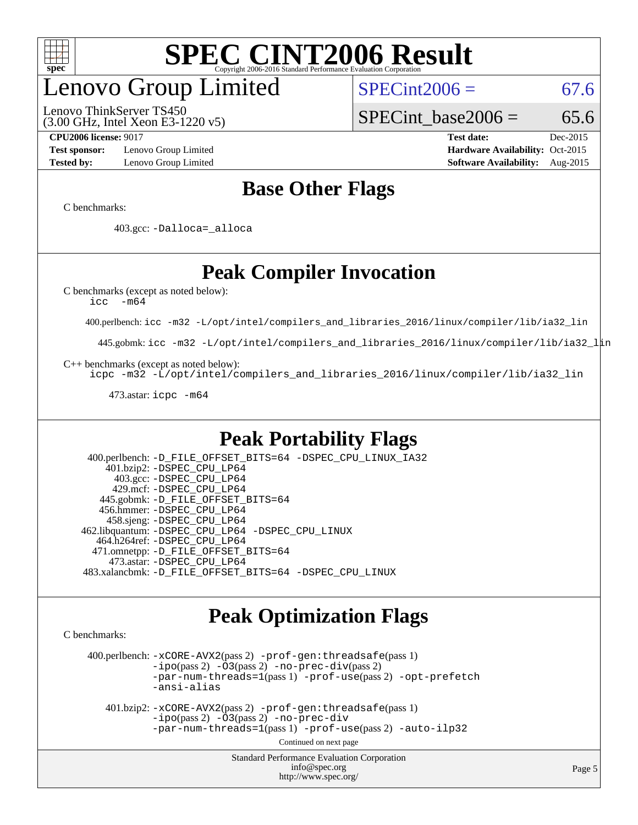

## enovo Group Limited

(3.00 GHz, Intel Xeon E3-1220 v5) Lenovo ThinkServer TS450

 $SPECint2006 = 67.6$  $SPECint2006 = 67.6$ 

SPECint base2006 =  $65.6$ 

**[Test sponsor:](http://www.spec.org/auto/cpu2006/Docs/result-fields.html#Testsponsor)** Lenovo Group Limited **[Hardware Availability:](http://www.spec.org/auto/cpu2006/Docs/result-fields.html#HardwareAvailability)** Oct-2015

**[CPU2006 license:](http://www.spec.org/auto/cpu2006/Docs/result-fields.html#CPU2006license)** 9017 **[Test date:](http://www.spec.org/auto/cpu2006/Docs/result-fields.html#Testdate)** Dec-2015 **[Tested by:](http://www.spec.org/auto/cpu2006/Docs/result-fields.html#Testedby)** Lenovo Group Limited **[Software Availability:](http://www.spec.org/auto/cpu2006/Docs/result-fields.html#SoftwareAvailability)** Aug-2015

### **[Base Other Flags](http://www.spec.org/auto/cpu2006/Docs/result-fields.html#BaseOtherFlags)**

[C benchmarks](http://www.spec.org/auto/cpu2006/Docs/result-fields.html#Cbenchmarks):

403.gcc: [-Dalloca=\\_alloca](http://www.spec.org/cpu2006/results/res2016q1/cpu2006-20160125-38899.flags.html#b403.gcc_baseEXTRA_CFLAGS_Dalloca_be3056838c12de2578596ca5467af7f3)

### **[Peak Compiler Invocation](http://www.spec.org/auto/cpu2006/Docs/result-fields.html#PeakCompilerInvocation)**

[C benchmarks \(except as noted below\)](http://www.spec.org/auto/cpu2006/Docs/result-fields.html#Cbenchmarksexceptasnotedbelow):

[icc -m64](http://www.spec.org/cpu2006/results/res2016q1/cpu2006-20160125-38899.flags.html#user_CCpeak_intel_icc_64bit_f346026e86af2a669e726fe758c88044)

400.perlbench: [icc -m32 -L/opt/intel/compilers\\_and\\_libraries\\_2016/linux/compiler/lib/ia32\\_lin](http://www.spec.org/cpu2006/results/res2016q1/cpu2006-20160125-38899.flags.html#user_peakCCLD400_perlbench_intel_icc_e10256ba5924b668798078a321b0cb3f)

445.gobmk: [icc -m32 -L/opt/intel/compilers\\_and\\_libraries\\_2016/linux/compiler/lib/ia32\\_lin](http://www.spec.org/cpu2006/results/res2016q1/cpu2006-20160125-38899.flags.html#user_peakCCLD445_gobmk_intel_icc_e10256ba5924b668798078a321b0cb3f)

[C++ benchmarks \(except as noted below\):](http://www.spec.org/auto/cpu2006/Docs/result-fields.html#CXXbenchmarksexceptasnotedbelow)

[icpc -m32 -L/opt/intel/compilers\\_and\\_libraries\\_2016/linux/compiler/lib/ia32\\_lin](http://www.spec.org/cpu2006/results/res2016q1/cpu2006-20160125-38899.flags.html#user_CXXpeak_intel_icpc_b4f50a394bdb4597aa5879c16bc3f5c5)

473.astar: [icpc -m64](http://www.spec.org/cpu2006/results/res2016q1/cpu2006-20160125-38899.flags.html#user_peakCXXLD473_astar_intel_icpc_64bit_fc66a5337ce925472a5c54ad6a0de310)

### **[Peak Portability Flags](http://www.spec.org/auto/cpu2006/Docs/result-fields.html#PeakPortabilityFlags)**

 400.perlbench: [-D\\_FILE\\_OFFSET\\_BITS=64](http://www.spec.org/cpu2006/results/res2016q1/cpu2006-20160125-38899.flags.html#user_peakPORTABILITY400_perlbench_file_offset_bits_64_438cf9856305ebd76870a2c6dc2689ab) [-DSPEC\\_CPU\\_LINUX\\_IA32](http://www.spec.org/cpu2006/results/res2016q1/cpu2006-20160125-38899.flags.html#b400.perlbench_peakCPORTABILITY_DSPEC_CPU_LINUX_IA32) 401.bzip2: [-DSPEC\\_CPU\\_LP64](http://www.spec.org/cpu2006/results/res2016q1/cpu2006-20160125-38899.flags.html#suite_peakPORTABILITY401_bzip2_DSPEC_CPU_LP64) 403.gcc: [-DSPEC\\_CPU\\_LP64](http://www.spec.org/cpu2006/results/res2016q1/cpu2006-20160125-38899.flags.html#suite_peakPORTABILITY403_gcc_DSPEC_CPU_LP64) 429.mcf: [-DSPEC\\_CPU\\_LP64](http://www.spec.org/cpu2006/results/res2016q1/cpu2006-20160125-38899.flags.html#suite_peakPORTABILITY429_mcf_DSPEC_CPU_LP64) 445.gobmk: [-D\\_FILE\\_OFFSET\\_BITS=64](http://www.spec.org/cpu2006/results/res2016q1/cpu2006-20160125-38899.flags.html#user_peakPORTABILITY445_gobmk_file_offset_bits_64_438cf9856305ebd76870a2c6dc2689ab) 456.hmmer: [-DSPEC\\_CPU\\_LP64](http://www.spec.org/cpu2006/results/res2016q1/cpu2006-20160125-38899.flags.html#suite_peakPORTABILITY456_hmmer_DSPEC_CPU_LP64) 458.sjeng: [-DSPEC\\_CPU\\_LP64](http://www.spec.org/cpu2006/results/res2016q1/cpu2006-20160125-38899.flags.html#suite_peakPORTABILITY458_sjeng_DSPEC_CPU_LP64) 462.libquantum: [-DSPEC\\_CPU\\_LP64](http://www.spec.org/cpu2006/results/res2016q1/cpu2006-20160125-38899.flags.html#suite_peakPORTABILITY462_libquantum_DSPEC_CPU_LP64) [-DSPEC\\_CPU\\_LINUX](http://www.spec.org/cpu2006/results/res2016q1/cpu2006-20160125-38899.flags.html#b462.libquantum_peakCPORTABILITY_DSPEC_CPU_LINUX) 464.h264ref: [-DSPEC\\_CPU\\_LP64](http://www.spec.org/cpu2006/results/res2016q1/cpu2006-20160125-38899.flags.html#suite_peakPORTABILITY464_h264ref_DSPEC_CPU_LP64) 471.omnetpp: [-D\\_FILE\\_OFFSET\\_BITS=64](http://www.spec.org/cpu2006/results/res2016q1/cpu2006-20160125-38899.flags.html#user_peakPORTABILITY471_omnetpp_file_offset_bits_64_438cf9856305ebd76870a2c6dc2689ab) 473.astar: [-DSPEC\\_CPU\\_LP64](http://www.spec.org/cpu2006/results/res2016q1/cpu2006-20160125-38899.flags.html#suite_peakPORTABILITY473_astar_DSPEC_CPU_LP64) 483.xalancbmk: [-D\\_FILE\\_OFFSET\\_BITS=64](http://www.spec.org/cpu2006/results/res2016q1/cpu2006-20160125-38899.flags.html#user_peakPORTABILITY483_xalancbmk_file_offset_bits_64_438cf9856305ebd76870a2c6dc2689ab) [-DSPEC\\_CPU\\_LINUX](http://www.spec.org/cpu2006/results/res2016q1/cpu2006-20160125-38899.flags.html#b483.xalancbmk_peakCXXPORTABILITY_DSPEC_CPU_LINUX)

### **[Peak Optimization Flags](http://www.spec.org/auto/cpu2006/Docs/result-fields.html#PeakOptimizationFlags)**

[C benchmarks](http://www.spec.org/auto/cpu2006/Docs/result-fields.html#Cbenchmarks):

 400.perlbench: [-xCORE-AVX2](http://www.spec.org/cpu2006/results/res2016q1/cpu2006-20160125-38899.flags.html#user_peakPASS2_CFLAGSPASS2_LDCFLAGS400_perlbench_f-xAVX2_5f5fc0cbe2c9f62c816d3e45806c70d7)(pass 2) [-prof-gen:threadsafe](http://www.spec.org/cpu2006/results/res2016q1/cpu2006-20160125-38899.flags.html#user_peakPASS1_CFLAGSPASS1_LDCFLAGS400_perlbench_prof_gen_21a26eb79f378b550acd7bec9fe4467a)(pass 1)  $-i\text{po}(pass 2) -\tilde{O}3(pass 2)$  [-no-prec-div](http://www.spec.org/cpu2006/results/res2016q1/cpu2006-20160125-38899.flags.html#user_peakPASS2_CFLAGSPASS2_LDCFLAGS400_perlbench_f-no-prec-div)(pass 2) [-par-num-threads=1](http://www.spec.org/cpu2006/results/res2016q1/cpu2006-20160125-38899.flags.html#user_peakPASS1_CFLAGSPASS1_LDCFLAGS400_perlbench_par_num_threads_786a6ff141b4e9e90432e998842df6c2)(pass 1) [-prof-use](http://www.spec.org/cpu2006/results/res2016q1/cpu2006-20160125-38899.flags.html#user_peakPASS2_CFLAGSPASS2_LDCFLAGS400_perlbench_prof_use_bccf7792157ff70d64e32fe3e1250b55)(pass 2) [-opt-prefetch](http://www.spec.org/cpu2006/results/res2016q1/cpu2006-20160125-38899.flags.html#user_peakCOPTIMIZE400_perlbench_f-opt-prefetch) [-ansi-alias](http://www.spec.org/cpu2006/results/res2016q1/cpu2006-20160125-38899.flags.html#user_peakCOPTIMIZE400_perlbench_f-ansi-alias)

 401.bzip2: [-xCORE-AVX2](http://www.spec.org/cpu2006/results/res2016q1/cpu2006-20160125-38899.flags.html#user_peakPASS2_CFLAGSPASS2_LDCFLAGS401_bzip2_f-xAVX2_5f5fc0cbe2c9f62c816d3e45806c70d7)(pass 2) [-prof-gen:threadsafe](http://www.spec.org/cpu2006/results/res2016q1/cpu2006-20160125-38899.flags.html#user_peakPASS1_CFLAGSPASS1_LDCFLAGS401_bzip2_prof_gen_21a26eb79f378b550acd7bec9fe4467a)(pass 1)  $-i\text{po}(pass 2) -\overline{O}3(pass 2)$  [-no-prec-div](http://www.spec.org/cpu2006/results/res2016q1/cpu2006-20160125-38899.flags.html#user_peakCOPTIMIZEPASS2_CFLAGSPASS2_LDCFLAGS401_bzip2_f-no-prec-div) [-par-num-threads=1](http://www.spec.org/cpu2006/results/res2016q1/cpu2006-20160125-38899.flags.html#user_peakPASS1_CFLAGSPASS1_LDCFLAGS401_bzip2_par_num_threads_786a6ff141b4e9e90432e998842df6c2)(pass 1) [-prof-use](http://www.spec.org/cpu2006/results/res2016q1/cpu2006-20160125-38899.flags.html#user_peakPASS2_CFLAGSPASS2_LDCFLAGS401_bzip2_prof_use_bccf7792157ff70d64e32fe3e1250b55)(pass 2) [-auto-ilp32](http://www.spec.org/cpu2006/results/res2016q1/cpu2006-20160125-38899.flags.html#user_peakCOPTIMIZE401_bzip2_f-auto-ilp32)

Continued on next page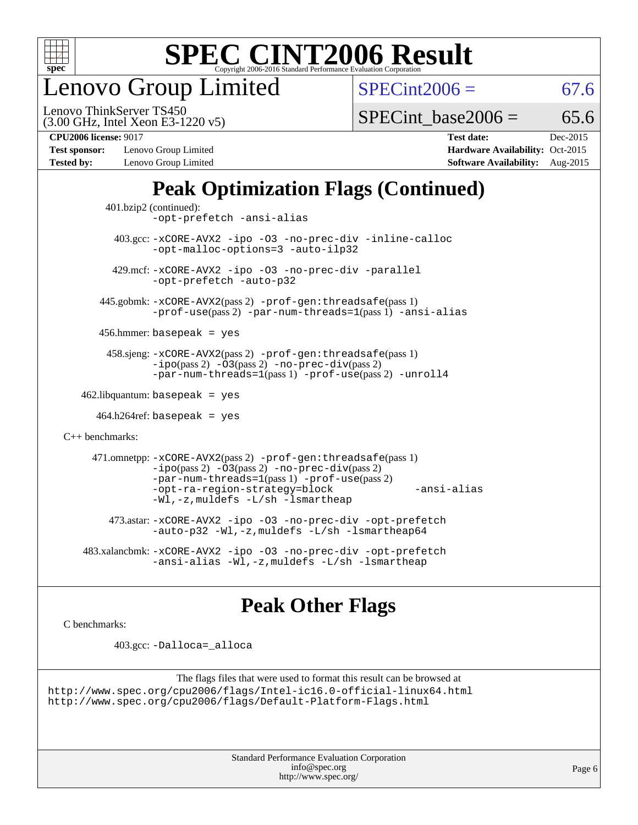

enovo Group Limited

 $SPECint2006 = 67.6$  $SPECint2006 = 67.6$ 

(3.00 GHz, Intel Xeon E3-1220 v5) Lenovo ThinkServer TS450

SPECint base2006 =  $65.6$ 

**[Test sponsor:](http://www.spec.org/auto/cpu2006/Docs/result-fields.html#Testsponsor)** Lenovo Group Limited **[Hardware Availability:](http://www.spec.org/auto/cpu2006/Docs/result-fields.html#HardwareAvailability)** Oct-2015 **[Tested by:](http://www.spec.org/auto/cpu2006/Docs/result-fields.html#Testedby)** Lenovo Group Limited **[Software Availability:](http://www.spec.org/auto/cpu2006/Docs/result-fields.html#SoftwareAvailability)** Aug-2015

**[CPU2006 license:](http://www.spec.org/auto/cpu2006/Docs/result-fields.html#CPU2006license)** 9017 **[Test date:](http://www.spec.org/auto/cpu2006/Docs/result-fields.html#Testdate)** Dec-2015

### **[Peak Optimization Flags \(Continued\)](http://www.spec.org/auto/cpu2006/Docs/result-fields.html#PeakOptimizationFlags)**

```
 401.bzip2 (continued):
                -opt-prefetch -ansi-alias
          403.gcc: -xCORE-AVX2 -ipo -O3 -no-prec-div -inline-calloc
                -opt-malloc-options=3 -auto-ilp32
         429.mcf: -xCORE-AVX2 -ipo -O3 -no-prec-div -parallel
                -opt-prefetch -auto-p32
       445.gobmk: -xCORE-AVX2(pass 2) -prof-gen:threadsafe(pass 1)
                -prof-use(pass 2) -par-num-threads=1(pass 1) -ansi-alias
       456.hmmer: basepeak = yes
        458.sjeng: -xCORE-AVX2(pass 2) -prof-gen:threadsafe(pass 1)
                -i\text{po}(pass 2) -\tilde{O}3(pass 2)-no-prec-div(pass 2)
                -par-num-threads=1(pass 1) -prof-use(pass 2) -unroll4
   462.libquantum: basepeak = yes
     464.h264ref: basepeak = yes
C++ benchmarks: 
      471.omnetpp: -xCORE-AVX2(pass 2) -prof-gen:threadsafe(pass 1)
                -i\text{po}(pass 2) -\overline{O}3(pass 2) -no-\overline{prec}\-div(pass 2)-par-num-threads=1(pass 1) -prof-use(pass 2)
                -opt-ra-region-strategy=block -ansi-alias
                -Wl,-z,muldefs -L/sh -lsmartheap
         473.astar: -xCORE-AVX2 -ipo -O3 -no-prec-div -opt-prefetch
                -auto-p32 -Wl,-z,muldefs -L/sh -lsmartheap64
    483.xalancbmk: -xCORE-AVX2 -ipo -O3 -no-prec-div -opt-prefetch
                -ansi-alias -Wl,-z,muldefs -L/sh -lsmartheap
```
### **[Peak Other Flags](http://www.spec.org/auto/cpu2006/Docs/result-fields.html#PeakOtherFlags)**

[C benchmarks](http://www.spec.org/auto/cpu2006/Docs/result-fields.html#Cbenchmarks):

403.gcc: [-Dalloca=\\_alloca](http://www.spec.org/cpu2006/results/res2016q1/cpu2006-20160125-38899.flags.html#b403.gcc_peakEXTRA_CFLAGS_Dalloca_be3056838c12de2578596ca5467af7f3)

```
The flags files that were used to format this result can be browsed at
http://www.spec.org/cpu2006/flags/Intel-ic16.0-official-linux64.html
http://www.spec.org/cpu2006/flags/Default-Platform-Flags.html
```